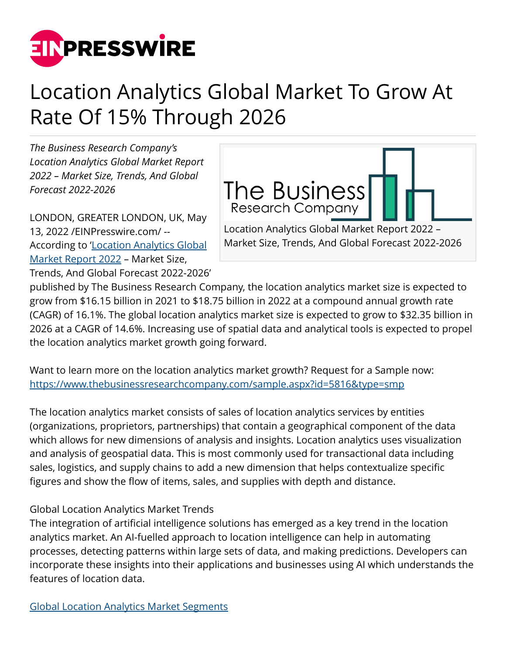

## Location Analytics Global Market To Grow At Rate Of 15% Through 2026

*The Business Research Company's Location Analytics Global Market Report 2022 – Market Size, Trends, And Global Forecast 2022-2026*

LONDON, GREATER LONDON, UK, May 13, 2022 /[EINPresswire.com/](http://www.einpresswire.com) -- According to '[Location Analytics Global](https://www.thebusinessresearchcompany.com/report/location-analytics-global-market-report) [Market Report 2022](https://www.thebusinessresearchcompany.com/report/location-analytics-global-market-report) – Market Size, Trends, And Global Forecast 2022-2026' The Business **Research Company** Location Analytics Global Market Report 2022 – Market Size, Trends, And Global Forecast 2022-2026

published by The Business Research Company, the location analytics market size is expected to grow from \$16.15 billion in 2021 to \$18.75 billion in 2022 at a compound annual growth rate (CAGR) of 16.1%. The global location analytics market size is expected to grow to \$32.35 billion in 2026 at a CAGR of 14.6%. Increasing use of spatial data and analytical tools is expected to propel the location analytics market growth going forward.

Want to learn more on the location analytics market growth? Request for a Sample now: <https://www.thebusinessresearchcompany.com/sample.aspx?id=5816&type=smp>

The location analytics market consists of sales of location analytics services by entities (organizations, proprietors, partnerships) that contain a geographical component of the data which allows for new dimensions of analysis and insights. Location analytics uses visualization and analysis of geospatial data. This is most commonly used for transactional data including sales, logistics, and supply chains to add a new dimension that helps contextualize specific figures and show the flow of items, sales, and supplies with depth and distance.

## Global Location Analytics Market Trends

The integration of artificial intelligence solutions has emerged as a key trend in the location analytics market. An AI-fuelled approach to location intelligence can help in automating processes, detecting patterns within large sets of data, and making predictions. Developers can incorporate these insights into their applications and businesses using AI which understands the features of location data.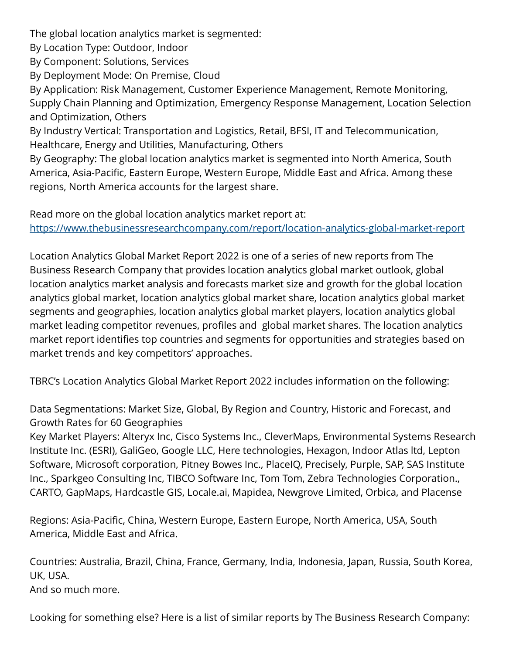The global location analytics market is segmented:

By Location Type: Outdoor, Indoor

By Component: Solutions, Services

By Deployment Mode: On Premise, Cloud

By Application: Risk Management, Customer Experience Management, Remote Monitoring, Supply Chain Planning and Optimization, Emergency Response Management, Location Selection and Optimization, Others

By Industry Vertical: Transportation and Logistics, Retail, BFSI, IT and Telecommunication, Healthcare, Energy and Utilities, Manufacturing, Others

By Geography: The global location analytics market is segmented into North America, South America, Asia-Pacific, Eastern Europe, Western Europe, Middle East and Africa. Among these regions, North America accounts for the largest share.

Read more on the global location analytics market report at: <https://www.thebusinessresearchcompany.com/report/location-analytics-global-market-report>

Location Analytics Global Market Report 2022 is one of a series of new reports from The Business Research Company that provides location analytics global market outlook, global location analytics market analysis and forecasts market size and growth for the global location analytics global market, location analytics global market share, location analytics global market segments and geographies, location analytics global market players, location analytics global market leading competitor revenues, profiles and global market shares. The location analytics market report identifies top countries and segments for opportunities and strategies based on market trends and key competitors' approaches.

TBRC's Location Analytics Global Market Report 2022 includes information on the following:

Data Segmentations: Market Size, Global, By Region and Country, Historic and Forecast, and Growth Rates for 60 Geographies

Key Market Players: Alteryx Inc, Cisco Systems Inc., CleverMaps, Environmental Systems Research Institute Inc. (ESRI), GaliGeo, Google LLC, Here technologies, Hexagon, Indoor Atlas ltd, Lepton Software, Microsoft corporation, Pitney Bowes Inc., PlaceIQ, Precisely, Purple, SAP, SAS Institute Inc., Sparkgeo Consulting Inc, TIBCO Software Inc, Tom Tom, Zebra Technologies Corporation., CARTO, GapMaps, Hardcastle GIS, Locale.ai, Mapidea, Newgrove Limited, Orbica, and Placense

Regions: Asia-Pacific, China, Western Europe, Eastern Europe, North America, USA, South America, Middle East and Africa.

Countries: Australia, Brazil, China, France, Germany, India, Indonesia, Japan, Russia, South Korea, UK, USA. And so much more.

Looking for something else? Here is a list of similar reports by The Business Research Company: